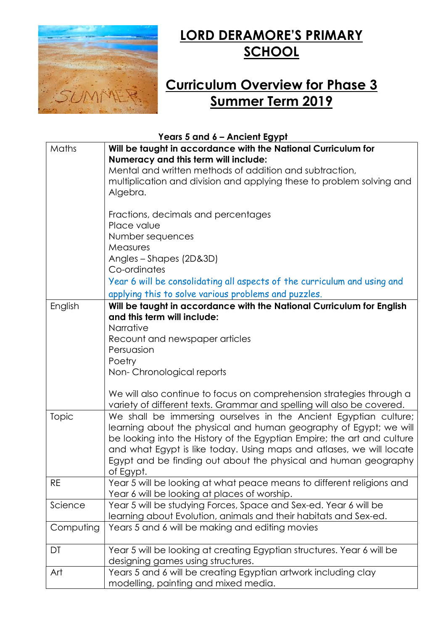

## LORD DERAMORE'S PRIMARY **SCHOOL**

## Curriculum Overview for Phase 3 Summer Term 2019

Years 5 and 6 – Ancient Egypt

| Maths     | Will be taught in accordance with the National Curriculum for<br>Numeracy and this term will include:                                                                                                                                                                                                                                                                    |
|-----------|--------------------------------------------------------------------------------------------------------------------------------------------------------------------------------------------------------------------------------------------------------------------------------------------------------------------------------------------------------------------------|
|           | Mental and written methods of addition and subtraction,                                                                                                                                                                                                                                                                                                                  |
|           | multiplication and division and applying these to problem solving and<br>Algebra.                                                                                                                                                                                                                                                                                        |
|           | Fractions, decimals and percentages<br>Place value<br>Number sequences                                                                                                                                                                                                                                                                                                   |
|           | <b>Measures</b><br>Angles - Shapes (2D&3D)<br>Co-ordinates                                                                                                                                                                                                                                                                                                               |
|           | Year 6 will be consolidating all aspects of the curriculum and using and                                                                                                                                                                                                                                                                                                 |
|           | applying this to solve various problems and puzzles.                                                                                                                                                                                                                                                                                                                     |
| English   | Will be taught in accordance with the National Curriculum for English<br>and this term will include:<br>Narrative                                                                                                                                                                                                                                                        |
|           |                                                                                                                                                                                                                                                                                                                                                                          |
|           | Recount and newspaper articles                                                                                                                                                                                                                                                                                                                                           |
|           | Persuasion                                                                                                                                                                                                                                                                                                                                                               |
|           | Poetry                                                                                                                                                                                                                                                                                                                                                                   |
|           | Non-Chronological reports                                                                                                                                                                                                                                                                                                                                                |
|           | We will also continue to focus on comprehension strategies through a<br>variety of different texts. Grammar and spelling will also be covered.                                                                                                                                                                                                                           |
| Topic     | We shall be immersing ourselves in the Ancient Egyptian culture;<br>learning about the physical and human geography of Egypt; we will<br>be looking into the History of the Egyptian Empire; the art and culture<br>and what Egypt is like today. Using maps and atlases, we will locate<br>Egypt and be finding out about the physical and human geography<br>of Egypt. |
| RE        | Year 5 will be looking at what peace means to different religions and<br>Year 6 will be looking at places of worship.                                                                                                                                                                                                                                                    |
| Science   | Year 5 will be studying Forces, Space and Sex-ed. Year 6 will be<br>learning about Evolution, animals and their habitats and Sex-ed.                                                                                                                                                                                                                                     |
| Computing | Years 5 and 6 will be making and editing movies                                                                                                                                                                                                                                                                                                                          |
| DT        | Year 5 will be looking at creating Egyptian structures. Year 6 will be<br>designing games using structures.                                                                                                                                                                                                                                                              |
| Art       | Years 5 and 6 will be creating Egyptian artwork including clay<br>modelling, painting and mixed media.                                                                                                                                                                                                                                                                   |